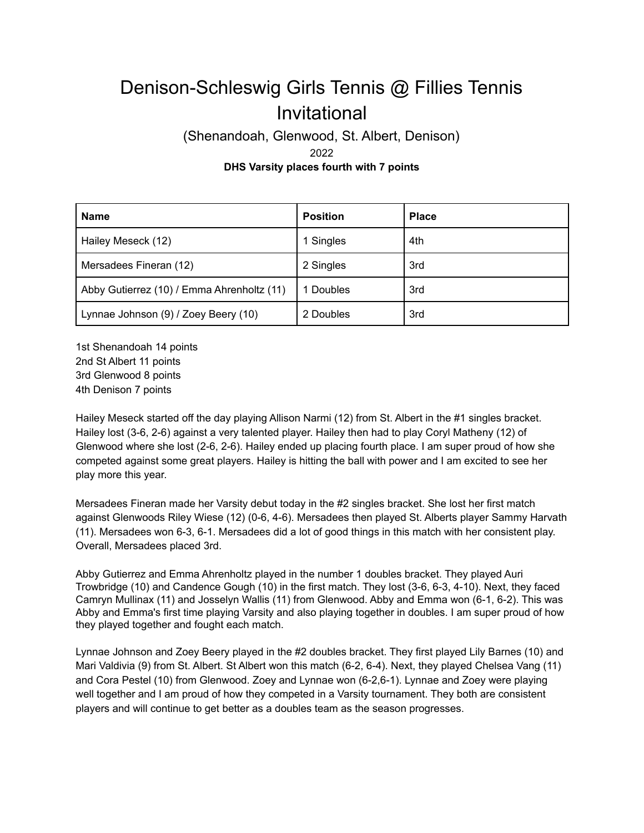## Denison-Schleswig Girls Tennis @ Fillies Tennis Invitational

(Shenandoah, Glenwood, St. Albert, Denison) 2022 **DHS Varsity places fourth with 7 points**

| <b>Name</b>                                | <b>Position</b> | <b>Place</b> |
|--------------------------------------------|-----------------|--------------|
| Hailey Meseck (12)                         | 1 Singles       | 4th          |
| Mersadees Fineran (12)                     | 2 Singles       | 3rd          |
| Abby Gutierrez (10) / Emma Ahrenholtz (11) | 1 Doubles       | 3rd          |
| Lynnae Johnson (9) / Zoey Beery (10)       | 2 Doubles       | 3rd          |

1st Shenandoah 14 points 2nd St Albert 11 points 3rd Glenwood 8 points 4th Denison 7 points

Hailey Meseck started off the day playing Allison Narmi (12) from St. Albert in the #1 singles bracket. Hailey lost (3-6, 2-6) against a very talented player. Hailey then had to play Coryl Matheny (12) of Glenwood where she lost (2-6, 2-6). Hailey ended up placing fourth place. I am super proud of how she competed against some great players. Hailey is hitting the ball with power and I am excited to see her play more this year.

Mersadees Fineran made her Varsity debut today in the #2 singles bracket. She lost her first match against Glenwoods Riley Wiese (12) (0-6, 4-6). Mersadees then played St. Alberts player Sammy Harvath (11). Mersadees won 6-3, 6-1. Mersadees did a lot of good things in this match with her consistent play. Overall, Mersadees placed 3rd.

Abby Gutierrez and Emma Ahrenholtz played in the number 1 doubles bracket. They played Auri Trowbridge (10) and Candence Gough (10) in the first match. They lost (3-6, 6-3, 4-10). Next, they faced Camryn Mullinax (11) and Josselyn Wallis (11) from Glenwood. Abby and Emma won (6-1, 6-2). This was Abby and Emma's first time playing Varsity and also playing together in doubles. I am super proud of how they played together and fought each match.

Lynnae Johnson and Zoey Beery played in the #2 doubles bracket. They first played Lily Barnes (10) and Mari Valdivia (9) from St. Albert. St Albert won this match (6-2, 6-4). Next, they played Chelsea Vang (11) and Cora Pestel (10) from Glenwood. Zoey and Lynnae won (6-2,6-1). Lynnae and Zoey were playing well together and I am proud of how they competed in a Varsity tournament. They both are consistent players and will continue to get better as a doubles team as the season progresses.